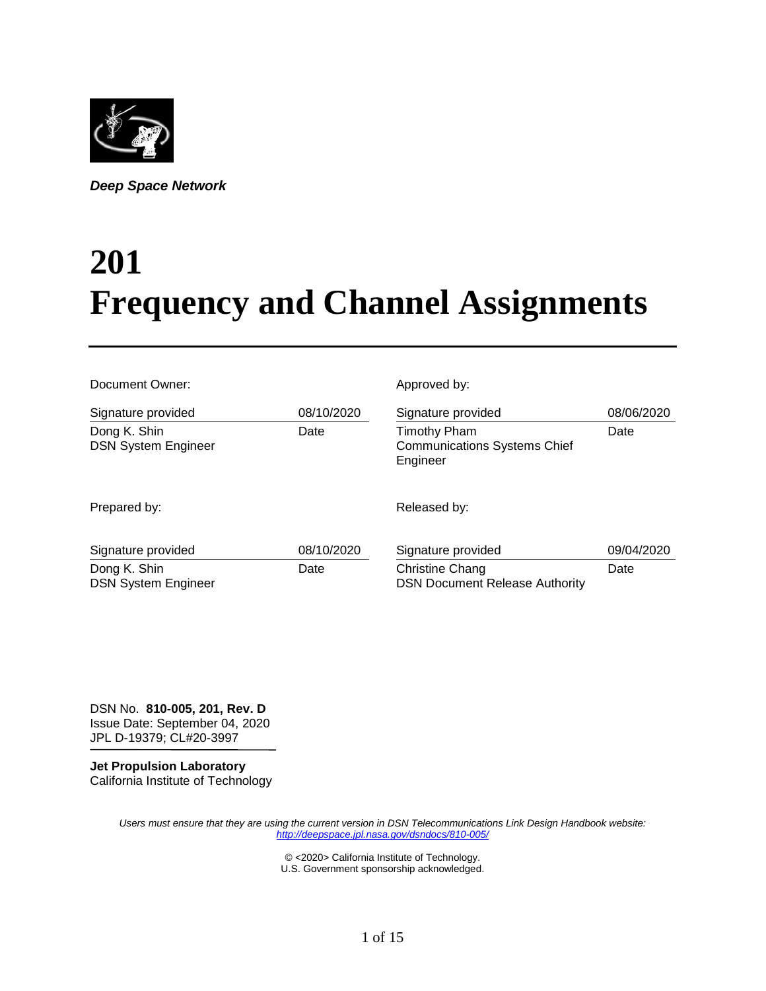

*Deep Space Network*

# **201 Frequency and Channel Assignments**

| Document Owner:                                    |            | Approved by:                                                                   |            |  |  |
|----------------------------------------------------|------------|--------------------------------------------------------------------------------|------------|--|--|
| Signature provided                                 | 08/10/2020 | Signature provided                                                             | 08/06/2020 |  |  |
| Dong K. Shin<br>Date<br><b>DSN System Engineer</b> |            | <b>Timothy Pham</b><br>Date<br><b>Communications Systems Chief</b><br>Engineer |            |  |  |
| Prepared by:                                       |            | Released by:                                                                   |            |  |  |
| Signature provided                                 | 08/10/2020 | Signature provided                                                             | 09/04/2020 |  |  |
| Dong K. Shin<br><b>DSN System Engineer</b>         | Date       | <b>Christine Chang</b><br><b>DSN Document Release Authority</b>                | Date       |  |  |

DSN No. **810-005, 201, Rev. D** Issue Date: September 04, 2020 JPL D-19379; CL#20-3997

**Jet Propulsion Laboratory** California Institute of Technology

> *Users must ensure that they are using the current version in DSN Telecommunications Link Design Handbook website: <http://deepspace.jpl.nasa.gov/dsndocs/810-005/>*

> > © <2020> California Institute of Technology. U.S. Government sponsorship acknowledged.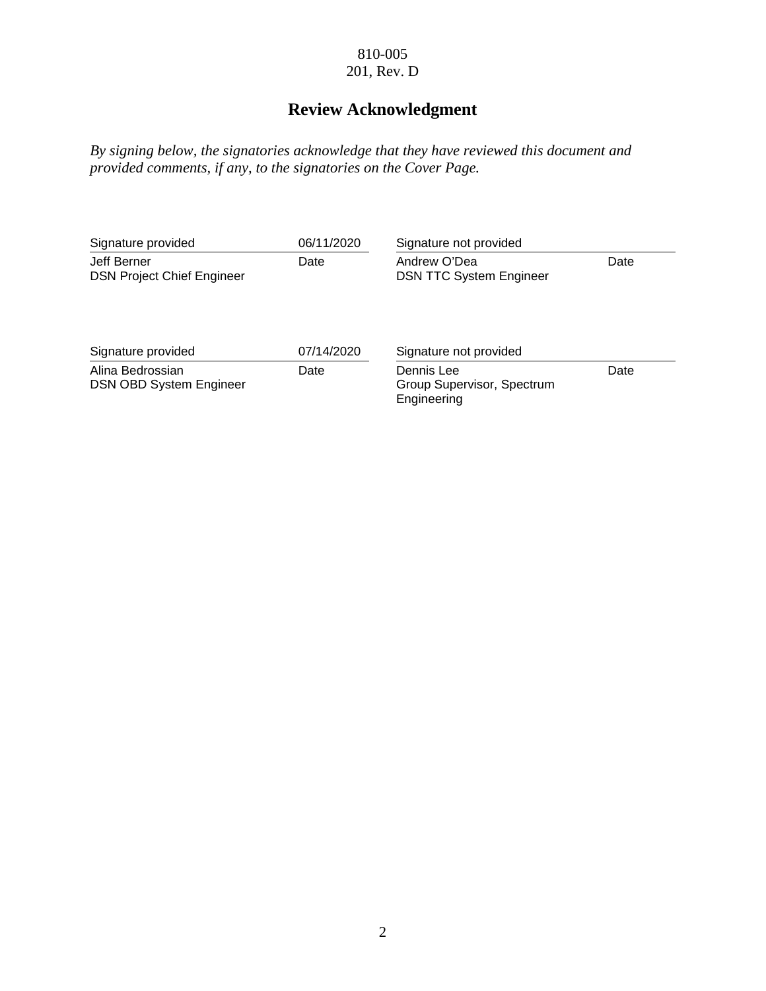# **Review Acknowledgment**

*By signing below, the signatories acknowledge that they have reviewed this document and provided comments, if any, to the signatories on the Cover Page.*

| Signature provided                                 | 06/11/2020 | Signature not provided                                  |      |
|----------------------------------------------------|------------|---------------------------------------------------------|------|
| Jeff Berner<br><b>DSN Project Chief Engineer</b>   | Date       | Andrew O'Dea<br><b>DSN TTC System Engineer</b>          | Date |
| Signature provided                                 | 07/14/2020 | Signature not provided                                  |      |
| Alina Bedrossian<br><b>DSN OBD System Engineer</b> | Date       | Dennis Lee<br>Group Supervisor, Spectrum<br>Engineering | Date |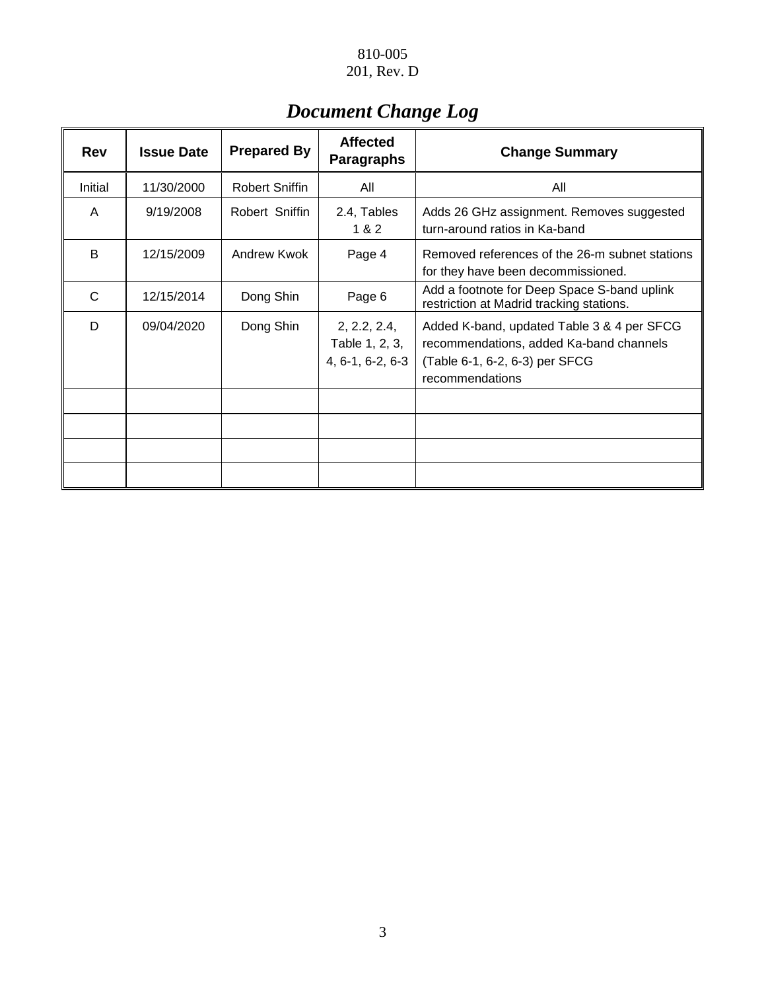# *Document Change Log*

| <b>Rev</b> | <b>Issue Date</b> | <b>Prepared By</b>    | <b>Affected</b><br><b>Paragraphs</b>               | <b>Change Summary</b>                                                                                                                      |
|------------|-------------------|-----------------------|----------------------------------------------------|--------------------------------------------------------------------------------------------------------------------------------------------|
| Initial    | 11/30/2000        | <b>Robert Sniffin</b> | All                                                | All                                                                                                                                        |
| A          | 9/19/2008         | Robert Sniffin        | 2.4, Tables<br>1 & 2                               | Adds 26 GHz assignment. Removes suggested<br>turn-around ratios in Ka-band                                                                 |
| B          | 12/15/2009        | Andrew Kwok           | Page 4                                             | Removed references of the 26-m subnet stations<br>for they have been decommissioned.                                                       |
| C          | 12/15/2014        | Dong Shin             | Page 6                                             | Add a footnote for Deep Space S-band uplink<br>restriction at Madrid tracking stations.                                                    |
| D          | 09/04/2020        | Dong Shin             | 2, 2.2, 2.4,<br>Table 1, 2, 3,<br>4, 6-1, 6-2, 6-3 | Added K-band, updated Table 3 & 4 per SFCG<br>recommendations, added Ka-band channels<br>(Table 6-1, 6-2, 6-3) per SFCG<br>recommendations |
|            |                   |                       |                                                    |                                                                                                                                            |
|            |                   |                       |                                                    |                                                                                                                                            |
|            |                   |                       |                                                    |                                                                                                                                            |
|            |                   |                       |                                                    |                                                                                                                                            |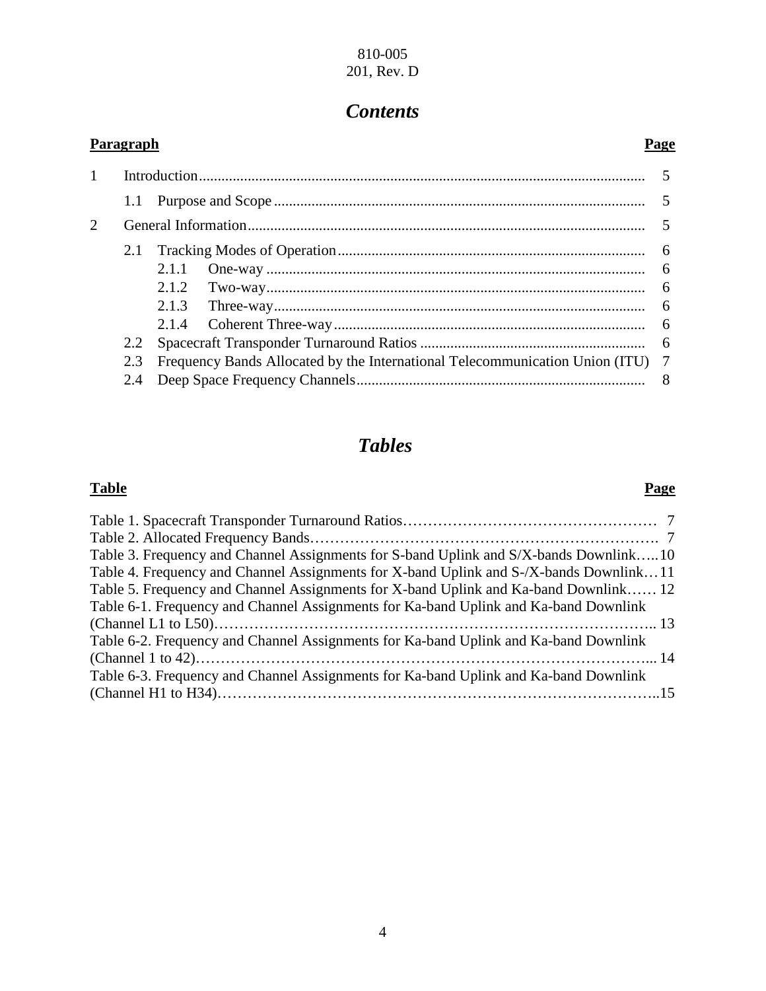# *Contents*

#### **Paragraph Page**

|                | 1.1 |                                                                                |  |  |  |  |  |
|----------------|-----|--------------------------------------------------------------------------------|--|--|--|--|--|
| $\overline{2}$ |     |                                                                                |  |  |  |  |  |
|                | 2.1 |                                                                                |  |  |  |  |  |
|                |     | 2.1.1                                                                          |  |  |  |  |  |
|                |     |                                                                                |  |  |  |  |  |
|                |     |                                                                                |  |  |  |  |  |
|                |     |                                                                                |  |  |  |  |  |
|                | 2.2 |                                                                                |  |  |  |  |  |
|                | 2.3 | Frequency Bands Allocated by the International Telecommunication Union (ITU) 7 |  |  |  |  |  |
|                | 2.4 |                                                                                |  |  |  |  |  |

# *Tables*

#### **Table Page**

| Table 3. Frequency and Channel Assignments for S-band Uplink and S/X-bands Downlink10  |
|----------------------------------------------------------------------------------------|
| Table 4. Frequency and Channel Assignments for X-band Uplink and S-/X-bands Downlink11 |
| Table 5. Frequency and Channel Assignments for X-band Uplink and Ka-band Downlink 12   |
| Table 6-1. Frequency and Channel Assignments for Ka-band Uplink and Ka-band Downlink   |
|                                                                                        |
| Table 6-2. Frequency and Channel Assignments for Ka-band Uplink and Ka-band Downlink   |
|                                                                                        |
| Table 6-3. Frequency and Channel Assignments for Ka-band Uplink and Ka-band Downlink   |
|                                                                                        |
|                                                                                        |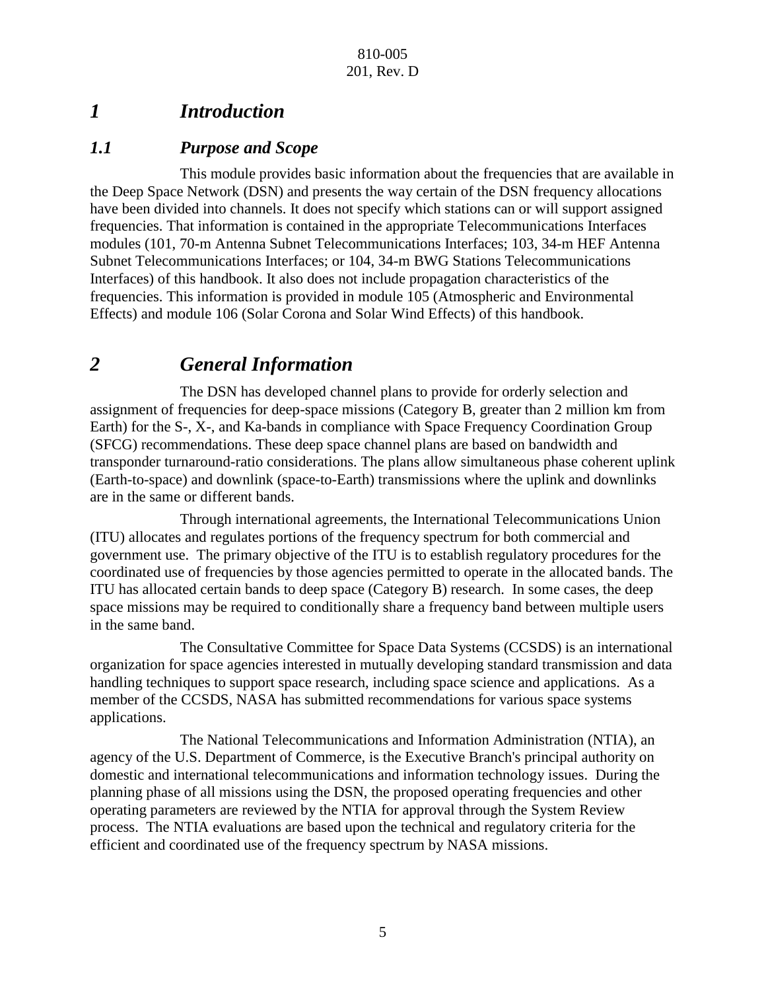## *1 Introduction*

#### *1.1 Purpose and Scope*

This module provides basic information about the frequencies that are available in the Deep Space Network (DSN) and presents the way certain of the DSN frequency allocations have been divided into channels. It does not specify which stations can or will support assigned frequencies. That information is contained in the appropriate Telecommunications Interfaces modules (101, 70-m Antenna Subnet Telecommunications Interfaces; 103, 34-m HEF Antenna Subnet Telecommunications Interfaces; or 104, 34-m BWG Stations Telecommunications Interfaces) of this handbook. It also does not include propagation characteristics of the frequencies. This information is provided in module 105 (Atmospheric and Environmental Effects) and module 106 (Solar Corona and Solar Wind Effects) of this handbook.

# *2 General Information*

The DSN has developed channel plans to provide for orderly selection and assignment of frequencies for deep-space missions (Category B, greater than 2 million km from Earth) for the S-, X-, and Ka-bands in compliance with Space Frequency Coordination Group (SFCG) recommendations. These deep space channel plans are based on bandwidth and transponder turnaround-ratio considerations. The plans allow simultaneous phase coherent uplink (Earth-to-space) and downlink (space-to-Earth) transmissions where the uplink and downlinks are in the same or different bands.

Through international agreements, the International Telecommunications Union (ITU) allocates and regulates portions of the frequency spectrum for both commercial and government use. The primary objective of the ITU is to establish regulatory procedures for the coordinated use of frequencies by those agencies permitted to operate in the allocated bands. The ITU has allocated certain bands to deep space (Category B) research. In some cases, the deep space missions may be required to conditionally share a frequency band between multiple users in the same band.

The Consultative Committee for Space Data Systems (CCSDS) is an international organization for space agencies interested in mutually developing standard transmission and data handling techniques to support space research, including space science and applications. As a member of the CCSDS, NASA has submitted recommendations for various space systems applications.

The National Telecommunications and Information Administration (NTIA), an agency of the U.S. Department of Commerce, is the Executive Branch's principal authority on domestic and international telecommunications and information technology issues. During the planning phase of all missions using the DSN, the proposed operating frequencies and other operating parameters are reviewed by the NTIA for approval through the System Review process. The NTIA evaluations are based upon the technical and regulatory criteria for the efficient and coordinated use of the frequency spectrum by NASA missions.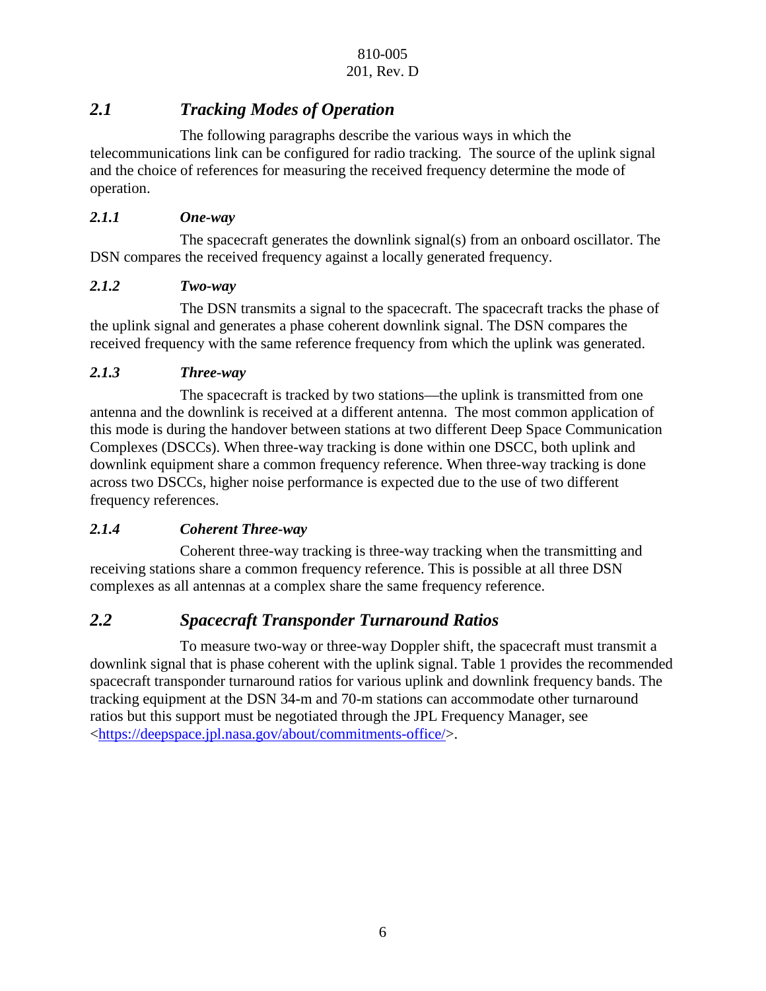### *2.1 Tracking Modes of Operation*

The following paragraphs describe the various ways in which the telecommunications link can be configured for radio tracking. The source of the uplink signal and the choice of references for measuring the received frequency determine the mode of operation.

#### *2.1.1 One-way*

The spacecraft generates the downlink signal(s) from an onboard oscillator. The DSN compares the received frequency against a locally generated frequency.

#### *2.1.2 Two-way*

The DSN transmits a signal to the spacecraft. The spacecraft tracks the phase of the uplink signal and generates a phase coherent downlink signal. The DSN compares the received frequency with the same reference frequency from which the uplink was generated.

#### *2.1.3 Three-way*

The spacecraft is tracked by two stations—the uplink is transmitted from one antenna and the downlink is received at a different antenna. The most common application of this mode is during the handover between stations at two different Deep Space Communication Complexes (DSCCs). When three-way tracking is done within one DSCC, both uplink and downlink equipment share a common frequency reference. When three-way tracking is done across two DSCCs, higher noise performance is expected due to the use of two different frequency references.

#### *2.1.4 Coherent Three-way*

Coherent three-way tracking is three-way tracking when the transmitting and receiving stations share a common frequency reference. This is possible at all three DSN complexes as all antennas at a complex share the same frequency reference.

#### *2.2 Spacecraft Transponder Turnaround Ratios*

To measure two-way or three-way Doppler shift, the spacecraft must transmit a downlink signal that is phase coherent with the uplink signal. Table 1 provides the recommended spacecraft transponder turnaround ratios for various uplink and downlink frequency bands. The tracking equipment at the DSN 34-m and 70-m stations can accommodate other turnaround ratios but this support must be negotiated through the JPL Frequency Manager, see [<https://deepspace.jpl.nasa.gov/about/commitments-office/>](https://deepspace.jpl.nasa.gov/about/commitments-office/).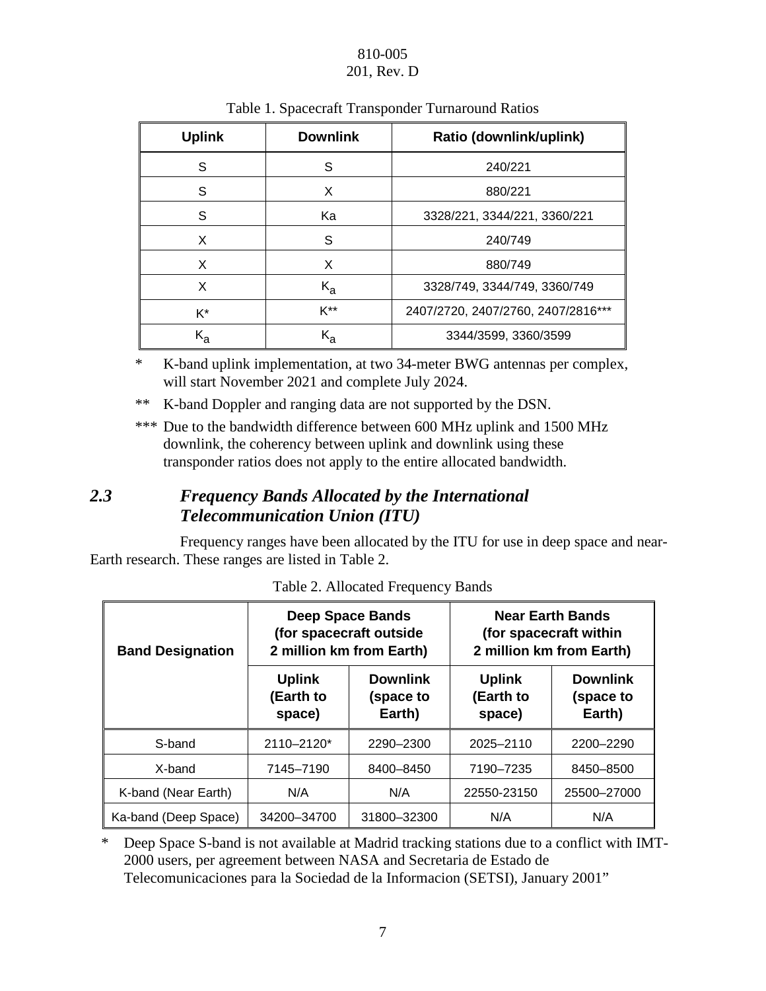| <b>Uplink</b> | <b>Downlink</b>         | Ratio (downlink/uplink)            |  |  |  |
|---------------|-------------------------|------------------------------------|--|--|--|
| S             | S                       | 240/221                            |  |  |  |
| S             | X<br>880/221            |                                    |  |  |  |
| S             | Ka                      | 3328/221, 3344/221, 3360/221       |  |  |  |
| X             | S                       | 240/749                            |  |  |  |
| X             | X                       | 880/749                            |  |  |  |
| X             | $K_{a}$                 | 3328/749, 3344/749, 3360/749       |  |  |  |
| K*            | $K^{**}$                | 2407/2720, 2407/2760, 2407/2816*** |  |  |  |
| $K_{\rm a}$   | $\mathsf{K}_\mathsf{a}$ | 3344/3599, 3360/3599               |  |  |  |

#### Table 1. Spacecraft Transponder Turnaround Ratios

\* K-band uplink implementation, at two 34-meter BWG antennas per complex, will start November 2021 and complete July 2024.

\*\* K-band Doppler and ranging data are not supported by the DSN.

\*\*\* Due to the bandwidth difference between 600 MHz uplink and 1500 MHz downlink, the coherency between uplink and downlink using these transponder ratios does not apply to the entire allocated bandwidth.

#### *2.3 Frequency Bands Allocated by the International Telecommunication Union (ITU)*

Frequency ranges have been allocated by the ITU for use in deep space and near-Earth research. These ranges are listed in Table 2.

| <b>Band Designation</b> |                                                                                | <b>Deep Space Bands</b><br>(for spacecraft outside<br>2 million km from Earth) | <b>Near Earth Bands</b><br>(for spacecraft within<br>2 million km from Earth) |                                        |  |
|-------------------------|--------------------------------------------------------------------------------|--------------------------------------------------------------------------------|-------------------------------------------------------------------------------|----------------------------------------|--|
|                         | <b>Downlink</b><br><b>Uplink</b><br>(Earth to<br>(space to<br>Earth)<br>space) |                                                                                | <b>Uplink</b><br>(Earth to<br>space)                                          | <b>Downlink</b><br>(space to<br>Earth) |  |
| S-band                  | 2110-2120*                                                                     | 2290-2300                                                                      | 2025-2110                                                                     | 2200-2290                              |  |
| X-band                  | 7145-7190                                                                      | 8400-8450                                                                      | 7190-7235                                                                     | 8450-8500                              |  |
| K-band (Near Earth)     | N/A<br>N/A                                                                     |                                                                                | 22550-23150                                                                   | 25500-27000                            |  |
| Ka-band (Deep Space)    | 34200-34700                                                                    | 31800-32300                                                                    | N/A                                                                           | N/A                                    |  |

Table 2. Allocated Frequency Bands

\* Deep Space S-band is not available at Madrid tracking stations due to a conflict with IMT-2000 users, per agreement between NASA and Secretaria de Estado de Telecomunicaciones para la Sociedad de la Informacion (SETSI), January 2001"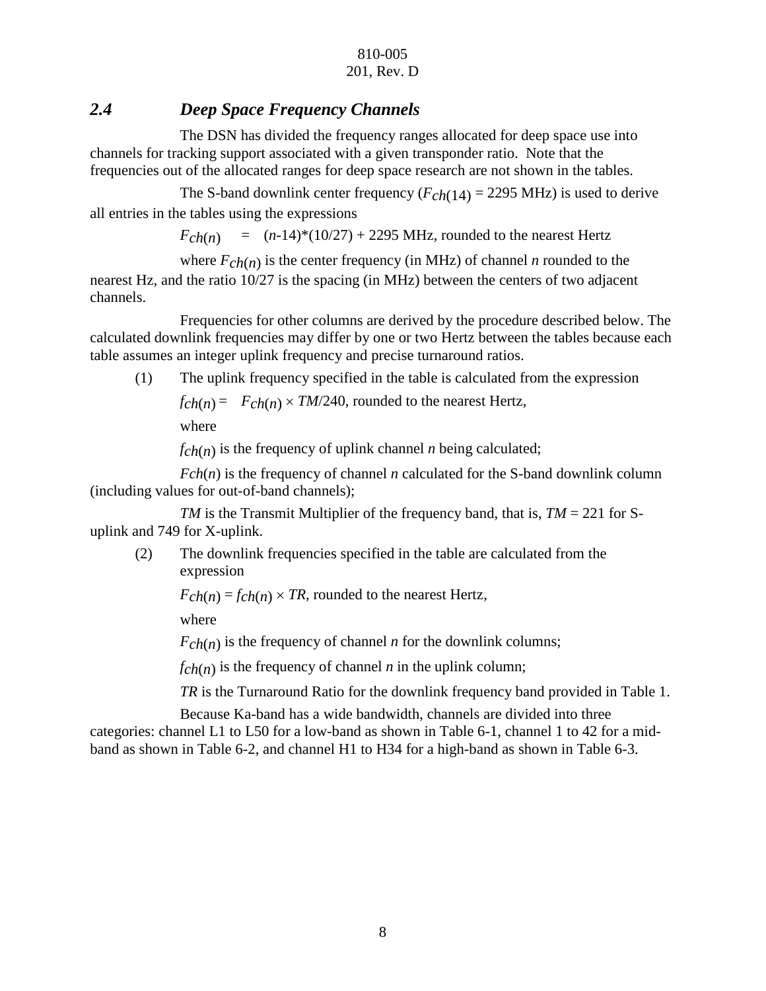#### *2.4 Deep Space Frequency Channels*

The DSN has divided the frequency ranges allocated for deep space use into channels for tracking support associated with a given transponder ratio. Note that the frequencies out of the allocated ranges for deep space research are not shown in the tables.

The S-band downlink center frequency  $(F<sub>ch</sub>(14) = 2295 \text{ MHz})$  is used to derive all entries in the tables using the expressions

 $F_{ch}(n) = (n-14)*(10/27) + 2295 \text{ MHz}$ , rounded to the nearest Hertz

where  $F_{ch}(n)$  is the center frequency (in MHz) of channel *n* rounded to the nearest Hz, and the ratio 10/27 is the spacing (in MHz) between the centers of two adjacent channels.

Frequencies for other columns are derived by the procedure described below. The calculated downlink frequencies may differ by one or two Hertz between the tables because each table assumes an integer uplink frequency and precise turnaround ratios.

(1) The uplink frequency specified in the table is calculated from the expression

 $f_{ch}(n) = F_{ch}(n) \times TM/240$ , rounded to the nearest Hertz,

where

 $f_{ch}(n)$  is the frequency of uplink channel *n* being calculated;

*Fch*(*n*) is the frequency of channel *n* calculated for the S-band downlink column (including values for out-of-band channels);

*TM* is the Transmit Multiplier of the frequency band, that is, *TM* = 221 for Suplink and 749 for X-uplink.

(2) The downlink frequencies specified in the table are calculated from the expression

 $F_{ch(n)} = f_{ch(n)} \times TR$ , rounded to the nearest Hertz,

where

 $F<sub>ch(n)</sub>$  is the frequency of channel *n* for the downlink columns;

 $f_{ch}(n)$  is the frequency of channel *n* in the uplink column;

*TR* is the Turnaround Ratio for the downlink frequency band provided in Table 1.

Because Ka-band has a wide bandwidth, channels are divided into three categories: channel L1 to L50 for a low-band as shown in Table 6-1, channel 1 to 42 for a midband as shown in Table 6-2, and channel H1 to H34 for a high-band as shown in Table 6-3.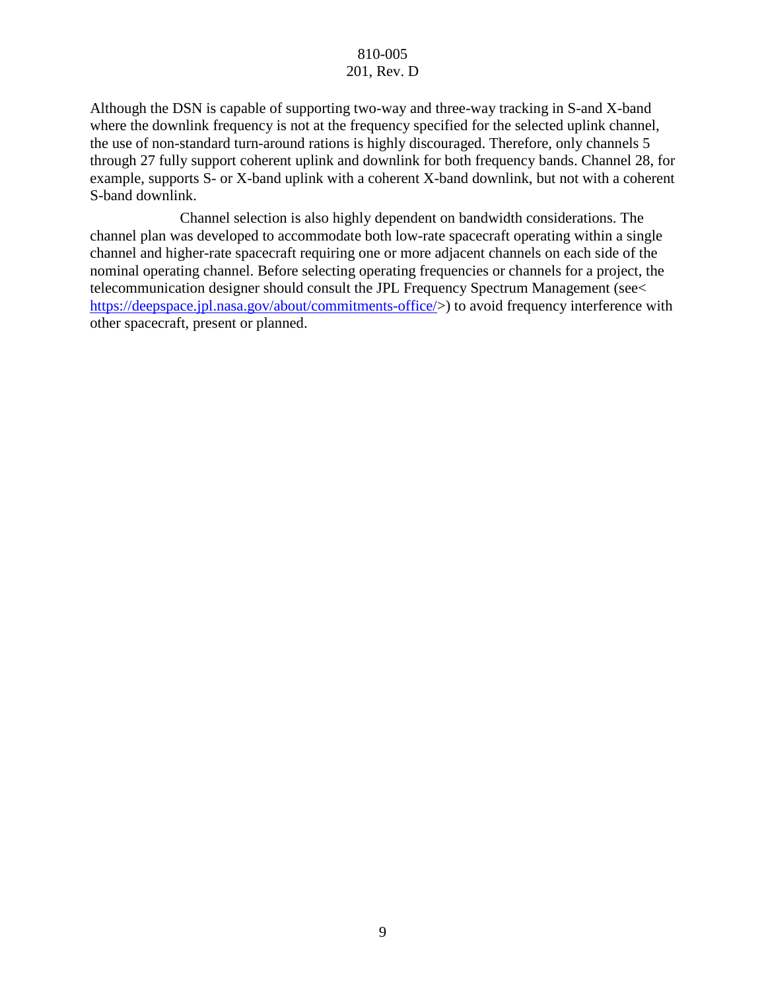Although the DSN is capable of supporting two-way and three-way tracking in S-and X-band where the downlink frequency is not at the frequency specified for the selected uplink channel, the use of non-standard turn-around rations is highly discouraged. Therefore, only channels 5 through 27 fully support coherent uplink and downlink for both frequency bands. Channel 28, for example, supports S- or X-band uplink with a coherent X-band downlink, but not with a coherent S-band downlink.

Channel selection is also highly dependent on bandwidth considerations. The channel plan was developed to accommodate both low-rate spacecraft operating within a single channel and higher-rate spacecraft requiring one or more adjacent channels on each side of the nominal operating channel. Before selecting operating frequencies or channels for a project, the telecommunication designer should consult the JPL Frequency Spectrum Management (see< [https://deepspace.jpl.nasa.gov/about/commitments-office/>](https://deepspace.jpl.nasa.gov/about/commitments-office/)) to avoid frequency interference with other spacecraft, present or planned.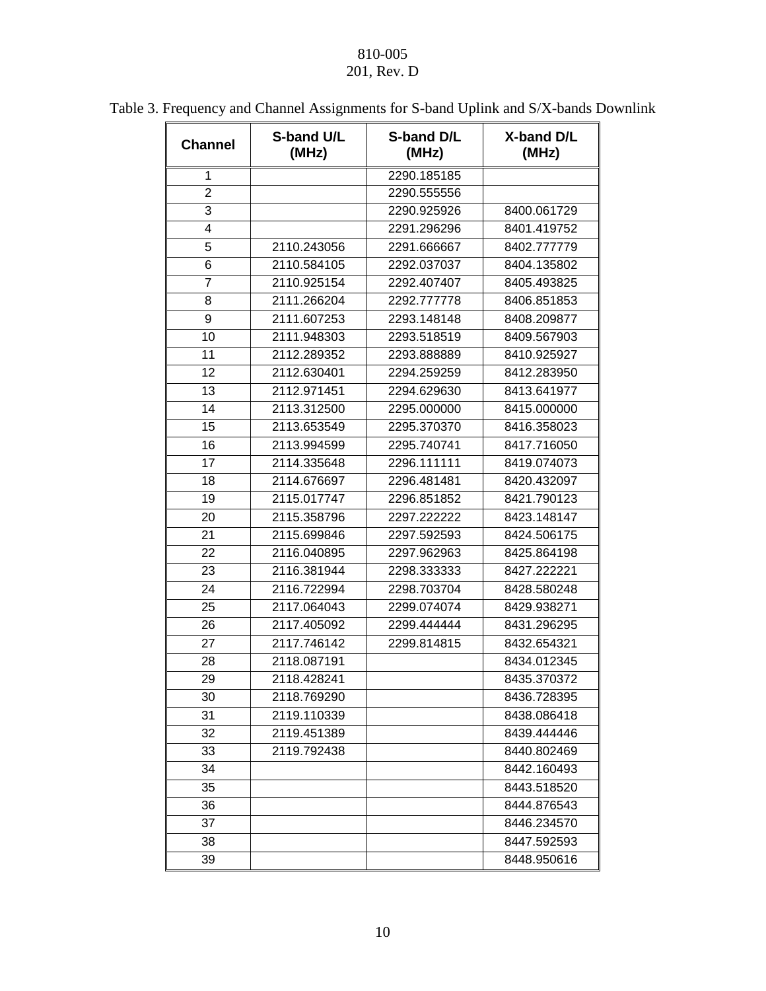| <b>Channel</b> | S-band U/L<br>(MHz) | S-band D/L<br>(MHz) | X-band D/L<br>(MHz) |
|----------------|---------------------|---------------------|---------------------|
| 1              |                     | 2290.185185         |                     |
| $\overline{2}$ |                     | 2290.555556         |                     |
| 3              |                     | 2290.925926         | 8400.061729         |
| 4              |                     | 2291.296296         | 8401.419752         |
| 5              | 2110.243056         | 2291.666667         | 8402.777779         |
| 6              | 2110.584105         | 2292.037037         | 8404.135802         |
| $\overline{7}$ | 2110.925154         | 2292.407407         | 8405.493825         |
| 8              | 2111.266204         | 2292.777778         | 8406.851853         |
| 9              | 2111.607253         | 2293.148148         | 8408.209877         |
| 10             | 2111.948303         | 2293.518519         | 8409.567903         |
| 11             | 2112.289352         | 2293.888889         | 8410.925927         |
| 12             | 2112.630401         | 2294.259259         | 8412.283950         |
| 13             | 2112.971451         | 2294.629630         | 8413.641977         |
| 14             | 2113.312500         | 2295.000000         | 8415.000000         |
| 15             | 2113.653549         | 2295.370370         | 8416.358023         |
| 16             | 2113.994599         | 2295.740741         | 8417.716050         |
| 17             | 2114.335648         | 2296.111111         | 8419.074073         |
| 18             | 2114.676697         | 2296.481481         | 8420.432097         |
| 19             | 2115.017747         | 2296.851852         | 8421.790123         |
| 20             | 2115.358796         | 2297.222222         | 8423.148147         |
| 21             | 2115.699846         | 2297.592593         | 8424.506175         |
| 22             | 2116.040895         | 2297.962963         | 8425.864198         |
| 23             | 2116.381944         | 2298.333333         | 8427.222221         |
| 24             | 2116.722994         | 2298.703704         | 8428.580248         |
| 25             | 2117.064043         | 2299.074074         | 8429.938271         |
| 26             | 2117.405092         | 2299.444444         | 8431.296295         |
| 27             | 2117.746142         | 2299.814815         | 8432.654321         |
| 28             | 2118.087191         |                     | 8434.012345         |
| 29             | 2118.428241         |                     | 8435.370372         |
| 30             | 2118.769290         |                     | 8436.728395         |
| 31             | 2119.110339         |                     | 8438.086418         |
| 32             | 2119.451389         |                     | 8439.444446         |
| 33             | 2119.792438         |                     | 8440.802469         |
| 34             |                     |                     | 8442.160493         |
| 35             |                     |                     | 8443.518520         |
| 36             |                     |                     | 8444.876543         |
| 37             |                     |                     | 8446.234570         |
| 38             |                     |                     | 8447.592593         |
| 39             |                     |                     | 8448.950616         |

### Table 3. Frequency and Channel Assignments for S-band Uplink and S/X-bands Downlink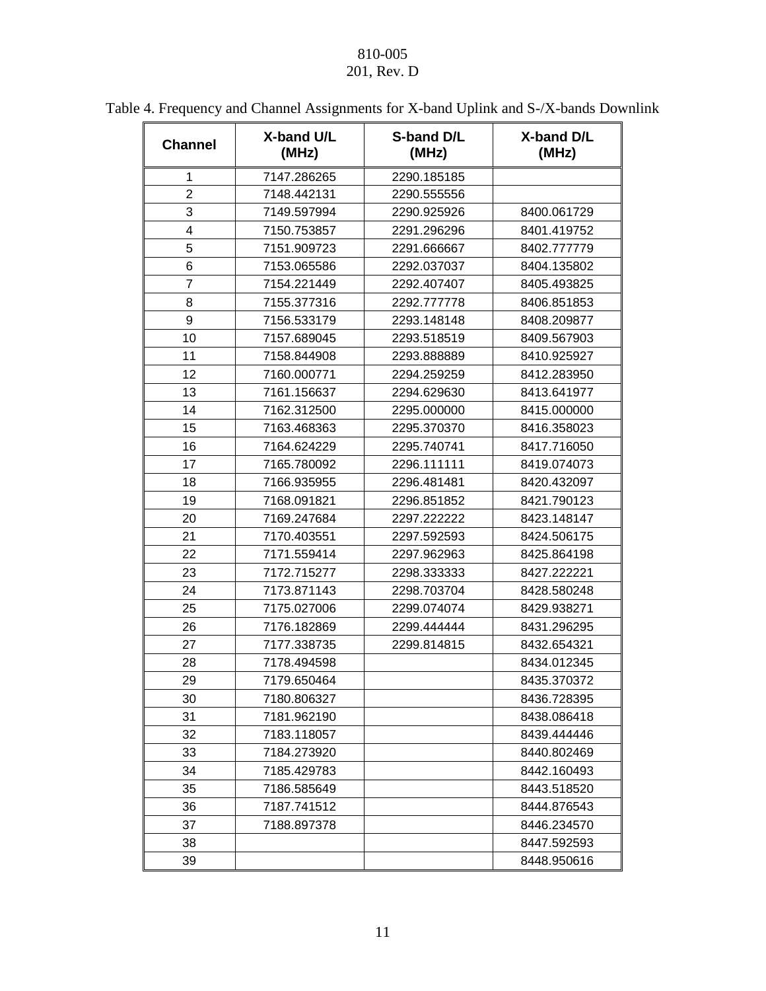| <b>Channel</b> | X-band U/L<br>(MHz) | S-band D/L<br>(MHz) | X-band D/L<br>(MHz) |
|----------------|---------------------|---------------------|---------------------|
| 1              | 7147.286265         | 2290.185185         |                     |
| $\overline{2}$ | 7148.442131         | 2290.555556         |                     |
| 3              | 7149.597994         | 2290.925926         | 8400.061729         |
| 4              | 7150.753857         | 2291.296296         | 8401.419752         |
| 5              | 7151.909723         | 2291.666667         | 8402.777779         |
| 6              | 7153.065586         | 2292.037037         | 8404.135802         |
| 7              | 7154.221449         | 2292.407407         | 8405.493825         |
| 8              | 7155.377316         | 2292.777778         | 8406.851853         |
| 9              | 7156.533179         | 2293.148148         | 8408.209877         |
| 10             | 7157.689045         | 2293.518519         | 8409.567903         |
| 11             | 7158.844908         | 2293.888889         | 8410.925927         |
| 12             | 7160.000771         | 2294.259259         | 8412.283950         |
| 13             | 7161.156637         | 2294.629630         | 8413.641977         |
| 14             | 7162.312500         | 2295.000000         | 8415.000000         |
| 15             | 7163.468363         | 2295.370370         | 8416.358023         |
| 16             | 7164.624229         | 2295.740741         | 8417.716050         |
| 17             | 7165.780092         | 2296.111111         | 8419.074073         |
| 18             | 7166.935955         | 2296.481481         | 8420.432097         |
| 19             | 7168.091821         | 2296.851852         | 8421.790123         |
| 20             | 7169.247684         | 2297.222222         | 8423.148147         |
| 21             | 7170.403551         | 2297.592593         | 8424.506175         |
| 22             | 7171.559414         | 2297.962963         | 8425.864198         |
| 23             | 7172.715277         | 2298.333333         | 8427.222221         |
| 24             | 7173.871143         | 2298.703704         | 8428.580248         |
| 25             | 7175.027006         | 2299.074074         | 8429.938271         |
| 26             | 7176.182869         | 2299.444444         | 8431.296295         |
| 27             | 7177.338735         | 2299.814815         | 8432.654321         |
| 28             | 7178.494598         |                     | 8434.012345         |
| 29             | 7179.650464         |                     | 8435.370372         |
| 30             | 7180.806327         |                     | 8436.728395         |
| 31             | 7181.962190         |                     | 8438.086418         |
| 32             | 7183.118057         |                     | 8439.444446         |
| 33             | 7184.273920         |                     | 8440.802469         |
| 34             | 7185.429783         |                     | 8442.160493         |
| 35             | 7186.585649         |                     | 8443.518520         |
| 36             | 7187.741512         |                     | 8444.876543         |
| 37             | 7188.897378         |                     | 8446.234570         |
| 38             |                     |                     | 8447.592593         |
| 39             |                     |                     | 8448.950616         |

### Table 4. Frequency and Channel Assignments for X-band Uplink and S-/X-bands Downlink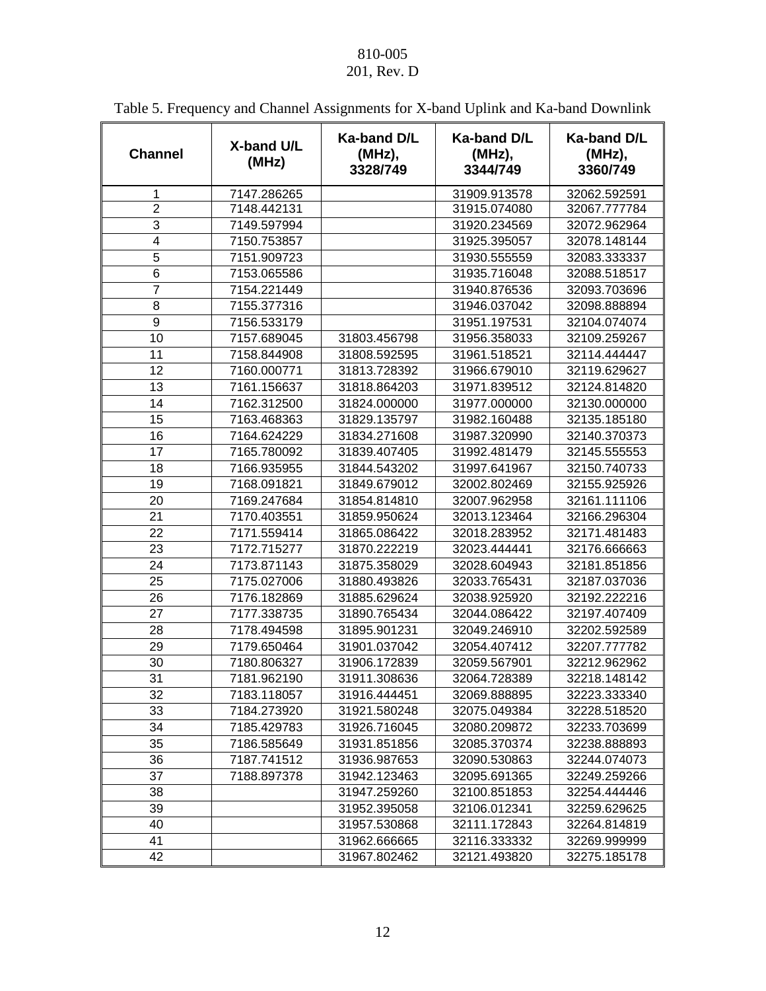| <b>Channel</b> | X-band U/L<br>(MHz) | Ka-band D/L<br>(MHz),<br>3328/749 | Ka-band D/L<br>(MHz),<br>3344/749 | Ka-band D/L<br>(MHz),<br>3360/749 |
|----------------|---------------------|-----------------------------------|-----------------------------------|-----------------------------------|
| 1              | 7147.286265         |                                   | 31909.913578                      | 32062.592591                      |
| $\overline{2}$ | 7148.442131         |                                   | 31915.074080                      | 32067.777784                      |
| $\overline{3}$ | 7149.597994         |                                   | 31920.234569                      | 32072.962964                      |
| 4              | 7150.753857         |                                   | 31925.395057                      | 32078.148144                      |
| 5              | 7151.909723         |                                   | 31930.555559                      | 32083.333337                      |
| 6              | 7153.065586         |                                   | 31935.716048                      | 32088.518517                      |
| $\overline{7}$ | 7154.221449         |                                   | 31940.876536                      | 32093.703696                      |
| 8              | 7155.377316         |                                   | 31946.037042                      | 32098.888894                      |
| 9              | 7156.533179         |                                   | 31951.197531                      | 32104.074074                      |
| 10             | 7157.689045         | 31803.456798                      | 31956.358033                      | 32109.259267                      |
| 11             | 7158.844908         | 31808.592595                      | 31961.518521                      | 32114.444447                      |
| 12             | 7160.000771         | 31813.728392                      | 31966.679010                      | 32119.629627                      |
| 13             | 7161.156637         | 31818.864203                      | 31971.839512                      | 32124.814820                      |
| 14             | 7162.312500         | 31824.000000                      | 31977.000000                      | 32130.000000                      |
| 15             | 7163.468363         | 31829.135797                      | 31982.160488                      | 32135.185180                      |
| 16             | 7164.624229         | 31834.271608                      | 31987.320990                      | 32140.370373                      |
| 17             | 7165.780092         | 31839.407405                      | 31992.481479                      | 32145.555553                      |
| 18             | 7166.935955         | 31844.543202                      | 31997.641967                      | 32150.740733                      |
| 19             | 7168.091821         | 31849.679012                      | 32002.802469                      | 32155.925926                      |
| 20             | 7169.247684         | 31854.814810                      | 32007.962958                      | 32161.111106                      |
| 21             | 7170.403551         | 31859.950624                      | 32013.123464                      | 32166.296304                      |
| 22             | 7171.559414         | 31865.086422                      | 32018.283952                      | 32171.481483                      |
| 23             | 7172.715277         | 31870.222219                      | 32023.444441                      | 32176.666663                      |
| 24             | 7173.871143         | 31875.358029                      | 32028.604943                      | 32181.851856                      |
| 25             | 7175.027006         | 31880.493826                      | 32033.765431                      | 32187.037036                      |
| 26             | 7176.182869         | 31885.629624                      | 32038.925920                      | 32192.222216                      |
| 27             | 7177.338735         | 31890.765434                      | 32044.086422                      | 32197.407409                      |
| 28             | 7178.494598         | 31895.901231                      | 32049.246910                      | 32202.592589                      |
| 29             | 7179.650464         | 31901.037042                      | 32054.407412                      | 32207.777782                      |
| 30             | 7180.806327         | 31906.172839                      | 32059.567901                      | 32212.962962                      |
| 31             | 7181.962190         | 31911.308636                      | 32064.728389                      | 32218.148142                      |
| 32             | 7183.118057         | 31916.444451                      | 32069.888895                      | 32223.333340                      |
| 33             | 7184.273920         | 31921.580248                      | 32075.049384                      | 32228.518520                      |
| 34             | 7185.429783         | 31926.716045                      | 32080.209872                      | 32233.703699                      |
| 35             | 7186.585649         | 31931.851856                      | 32085.370374                      | 32238.888893                      |
| 36             | 7187.741512         | 31936.987653                      | 32090.530863                      | 32244.074073                      |
| 37             | 7188.897378         | 31942.123463                      | 32095.691365                      | 32249.259266                      |
| 38             |                     | 31947.259260                      | 32100.851853                      | 32254.444446                      |
| 39             |                     | 31952.395058                      | 32106.012341                      | 32259.629625                      |
| 40             |                     | 31957.530868                      | 32111.172843                      | 32264.814819                      |
| 41             |                     | 31962.666665                      | 32116.333332                      | 32269.999999                      |
| 42             |                     | 31967.802462                      | 32121.493820                      | 32275.185178                      |

### Table 5. Frequency and Channel Assignments for X-band Uplink and Ka-band Downlink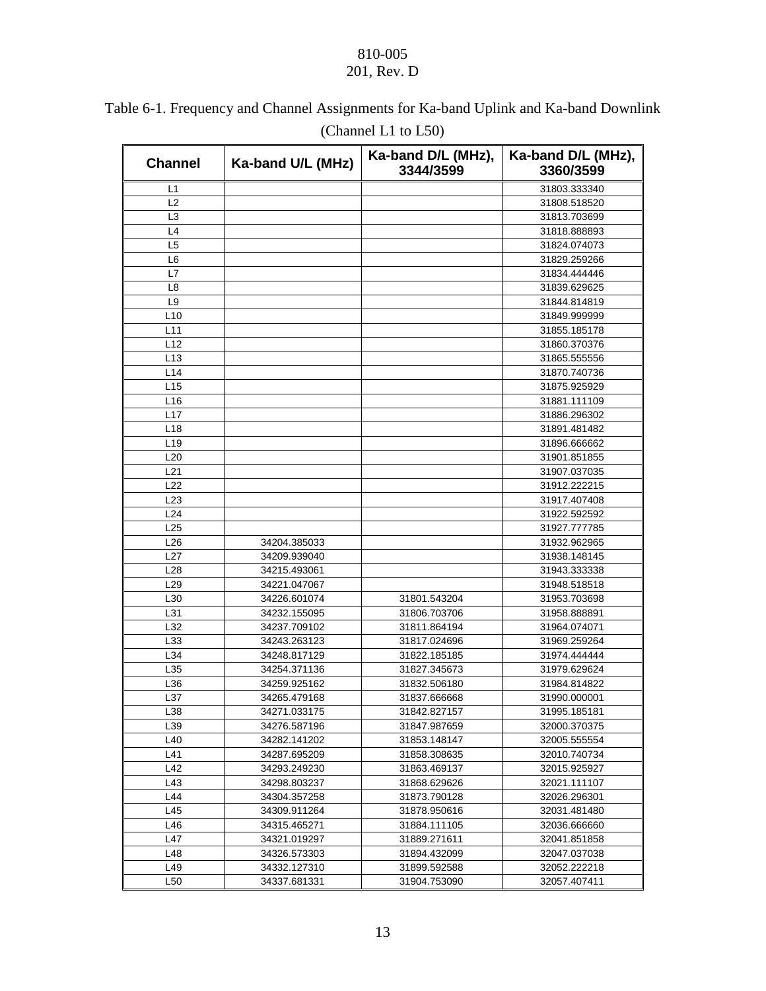|  | Table 6-1. Frequency and Channel Assignments for Ka-band Uplink and Ka-band Downlink |  |  |  |
|--|--------------------------------------------------------------------------------------|--|--|--|
|  |                                                                                      |  |  |  |

| <b>Channel</b>  | Ka-band U/L (MHz) | Ka-band D/L (MHz),<br>3344/3599 | Ka-band D/L (MHz),<br>3360/3599 |
|-----------------|-------------------|---------------------------------|---------------------------------|
| L1              |                   |                                 | 31803.333340                    |
| L2              |                   |                                 | 31808.518520                    |
| L <sub>3</sub>  |                   |                                 | 31813.703699                    |
| L4              |                   |                                 | 31818.888893                    |
| L5              |                   |                                 | 31824.074073                    |
| L6              |                   |                                 | 31829.259266                    |
| L7              |                   |                                 | 31834.444446                    |
| L8              |                   |                                 | 31839.629625                    |
| L9              |                   |                                 | 31844.814819                    |
| L10             |                   |                                 | 31849.999999                    |
| L11             |                   |                                 | 31855.185178                    |
| L12             |                   |                                 | 31860.370376                    |
| L <sub>13</sub> |                   |                                 | 31865.555556                    |
| L14             |                   |                                 | 31870.740736                    |
| L15             |                   |                                 | 31875.925929                    |
| L <sub>16</sub> |                   |                                 | 31881.111109                    |
| L17             |                   |                                 | 31886.296302                    |
| L18             |                   |                                 | 31891.481482                    |
| L <sub>19</sub> |                   |                                 | 31896.666662                    |
| L20             |                   |                                 | 31901.851855                    |
| L21             |                   |                                 | 31907.037035                    |
| L22             |                   |                                 | 31912.222215                    |
| L23             |                   |                                 | 31917.407408                    |
| L24             |                   |                                 |                                 |
| L25             |                   |                                 | 31922.592592<br>31927.777785    |
| L26             | 34204.385033      |                                 | 31932.962965                    |
| L27             | 34209.939040      |                                 | 31938.148145                    |
| L28             | 34215.493061      |                                 |                                 |
| L <sub>29</sub> |                   |                                 | 31943.333338                    |
|                 | 34221.047067      |                                 | 31948.518518                    |
| L30             | 34226.601074      | 31801.543204                    | 31953.703698                    |
| L31<br>L32      | 34232.155095      | 31806.703706                    | 31958.888891                    |
|                 | 34237.709102      | 31811.864194                    | 31964.074071                    |
| L33             | 34243.263123      | 31817.024696                    | 31969.259264                    |
| L34             | 34248.817129      | 31822.185185                    | 31974.444444                    |
| L35             | 34254.371136      | 31827.345673                    | 31979.629624                    |
| L36             | 34259.925162      | 31832.506180                    | 31984.814822                    |
| L37             | 34265.479168      | 31837.666668                    | 31990.000001                    |
| L38             | 34271.033175      | 31842.827157                    | 31995.185181                    |
| L39             | 34276.587196      | 31847.987659                    | 32000.370375                    |
| L40             | 34282.141202      | 31853.148147                    | 32005.555554                    |
| L41             | 34287.695209      | 31858.308635                    | 32010.740734                    |
| L42             | 34293.249230      | 31863.469137                    | 32015.925927                    |
| L43             | 34298.803237      | 31868.629626                    | 32021.111107                    |
| L44             | 34304.357258      | 31873.790128                    | 32026.296301                    |
| L45             | 34309.911264      | 31878.950616                    | 32031.481480                    |
| L46             | 34315.465271      | 31884.111105                    | 32036.666660                    |
| L47             | 34321.019297      | 31889.271611                    | 32041.851858                    |
| L48             | 34326.573303      | 31894.432099                    | 32047.037038                    |
| L49             | 34332.127310      | 31899.592588                    | 32052.222218                    |
| L50             | 34337.681331      | 31904.753090                    | 32057.407411                    |

(Channel L1 to L50)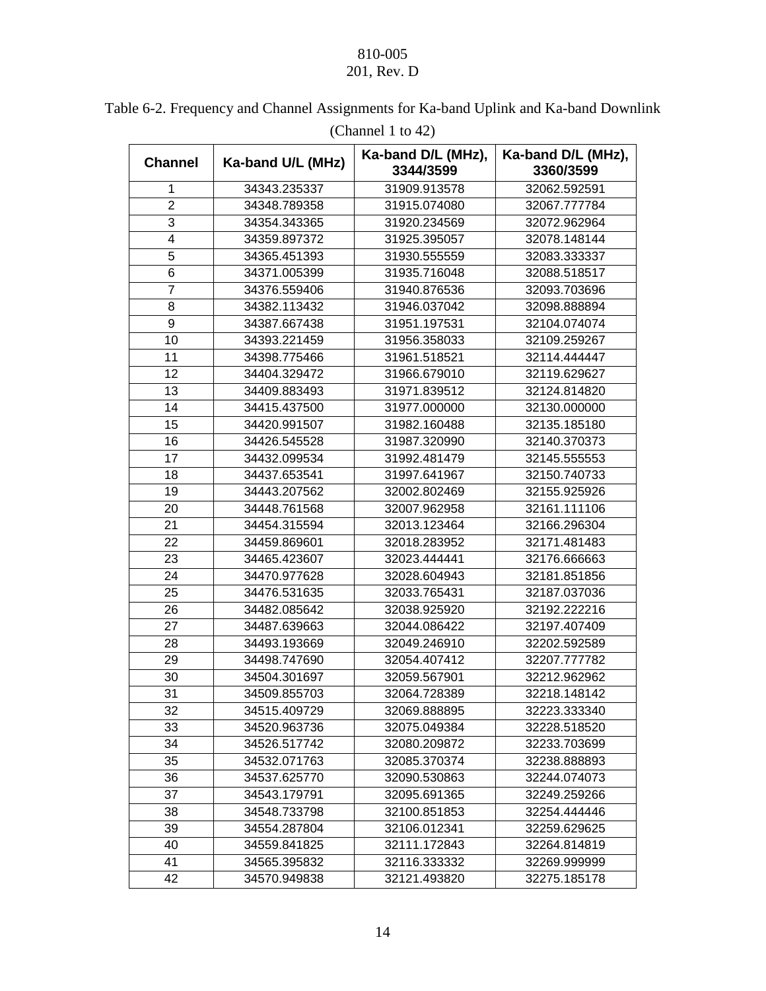| (Channel 1 to 42) |                   |                                 |                                 |  |
|-------------------|-------------------|---------------------------------|---------------------------------|--|
| <b>Channel</b>    | Ka-band U/L (MHz) | Ka-band D/L (MHz),<br>3344/3599 | Ka-band D/L (MHz),<br>3360/3599 |  |
| 1                 | 34343.235337      | 31909.913578                    | 32062.592591                    |  |
| $\overline{2}$    | 34348.789358      | 31915.074080                    | 32067.777784                    |  |
| 3                 | 34354.343365      | 31920.234569                    | 32072.962964                    |  |
| 4                 | 34359.897372      | 31925.395057                    | 32078.148144                    |  |
| 5                 | 34365.451393      | 31930.555559                    | 32083.333337                    |  |
| 6                 | 34371.005399      | 31935.716048                    | 32088.518517                    |  |
| $\overline{7}$    | 34376.559406      | 31940.876536                    | 32093.703696                    |  |
| 8                 | 34382.113432      | 31946.037042                    | 32098.888894                    |  |
| 9                 | 34387.667438      | 31951.197531                    | 32104.074074                    |  |
| 10                | 34393.221459      | 31956.358033                    | 32109.259267                    |  |
| 11                | 34398.775466      | 31961.518521                    | 32114.444447                    |  |
| 12                | 34404.329472      | 31966.679010                    | 32119.629627                    |  |
| 13                | 34409.883493      | 31971.839512                    | 32124.814820                    |  |
| 14                | 34415.437500      | 31977.000000                    | 32130.000000                    |  |
| 15                | 34420.991507      | 31982.160488                    | 32135.185180                    |  |
| 16                | 34426.545528      | 31987.320990                    | 32140.370373                    |  |
| 17                | 34432.099534      | 31992.481479                    | 32145.555553                    |  |
| 18                | 34437.653541      | 31997.641967                    | 32150.740733                    |  |
| 19                | 34443.207562      | 32002.802469                    | 32155.925926                    |  |
| 20                | 34448.761568      | 32007.962958                    | 32161.111106                    |  |
| 21                | 34454.315594      | 32013.123464                    | 32166.296304                    |  |
| 22                | 34459.869601      | 32018.283952                    | 32171.481483                    |  |
| 23                | 34465.423607      | 32023.444441                    | 32176.666663                    |  |
| 24                | 34470.977628      | 32028.604943                    | 32181.851856                    |  |
| 25                | 34476.531635      | 32033.765431                    | 32187.037036                    |  |
| 26                | 34482.085642      | 32038.925920                    | 32192.222216                    |  |
| 27                | 34487.639663      | 32044.086422                    | 32197.407409                    |  |
| 28                | 34493.193669      | 32049.246910                    | 32202.592589                    |  |
| 29                | 34498.747690      | 32054.407412                    | 32207.777782                    |  |
| 30                | 34504.301697      | 32059.567901                    | 32212.962962                    |  |
| 31                | 34509.855703      | 32064.728389                    | 32218.148142                    |  |
| 32                | 34515.409729      | 32069.888895                    | 32223.333340                    |  |
| 33                | 34520.963736      | 32075.049384                    | 32228.518520                    |  |
| 34                | 34526.517742      | 32080.209872                    | 32233.703699                    |  |
| 35                | 34532.071763      | 32085.370374                    | 32238.888893                    |  |
| 36                | 34537.625770      | 32090.530863                    | 32244.074073                    |  |
| 37                | 34543.179791      | 32095.691365                    | 32249.259266                    |  |
| 38                | 34548.733798      | 32100.851853                    | 32254.444446                    |  |
| 39                | 34554.287804      | 32106.012341                    | 32259.629625                    |  |
| 40                | 34559.841825      | 32111.172843                    | 32264.814819                    |  |
| 41                | 34565.395832      | 32116.333332                    | 32269.999999                    |  |
| 42                | 34570.949838      | 32121.493820                    | 32275.185178                    |  |
|                   |                   |                                 |                                 |  |

Table 6-2. Frequency and Channel Assignments for Ka-band Uplink and Ka-band Downlink